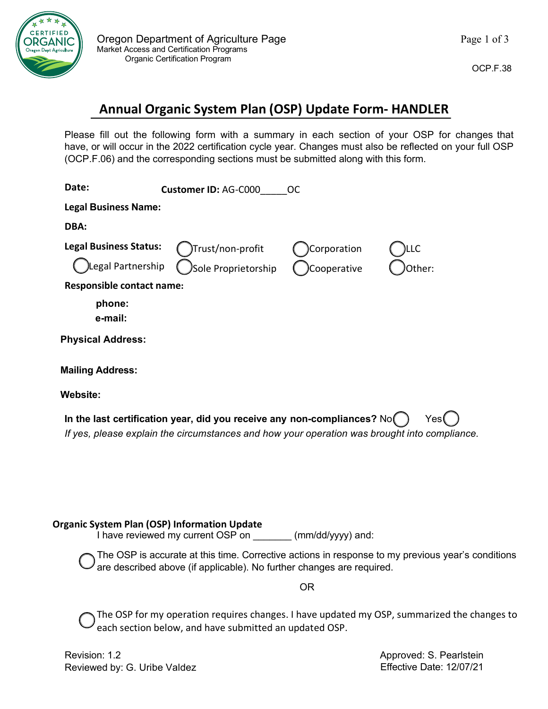

## **Annual Organic System Plan (OSP) Update Form- HANDLER**

Please fill out the following form with a summary in each section of your OSP for changes that have, or will occur in the 2022 certification cycle year. Changes must also be reflected on your full OSP (OCP.F.06) and the corresponding sections must be submitted along with this form.

| Date:                                               | Customer ID: AG-C000                                                                                                                                                     | <b>OC</b>   |                                                                                                   |
|-----------------------------------------------------|--------------------------------------------------------------------------------------------------------------------------------------------------------------------------|-------------|---------------------------------------------------------------------------------------------------|
| <b>Legal Business Name:</b>                         |                                                                                                                                                                          |             |                                                                                                   |
| DBA:                                                |                                                                                                                                                                          |             |                                                                                                   |
| <b>Legal Business Status:</b>                       | Trust/non-profit                                                                                                                                                         | Corporation | .LC                                                                                               |
| Legal Partnership                                   | Sole Proprietorship                                                                                                                                                      | Cooperative | Other:                                                                                            |
| <b>Responsible contact name:</b>                    |                                                                                                                                                                          |             |                                                                                                   |
| phone:<br>e-mail:                                   |                                                                                                                                                                          |             |                                                                                                   |
| <b>Physical Address:</b>                            |                                                                                                                                                                          |             |                                                                                                   |
| <b>Mailing Address:</b>                             |                                                                                                                                                                          |             |                                                                                                   |
| <b>Website:</b>                                     |                                                                                                                                                                          |             |                                                                                                   |
|                                                     | In the last certification year, did you receive any non-compliances? No(<br>If yes, please explain the circumstances and how your operation was brought into compliance. |             | Yes                                                                                               |
| <b>Organic System Plan (OSP) Information Update</b> | I have reviewed my current OSP on _________ (mm/dd/yyyy) and:                                                                                                            |             |                                                                                                   |
|                                                     | are described above (if applicable). No further changes are required.                                                                                                    |             | The OSP is accurate at this time. Corrective actions in response to my previous year's conditions |
|                                                     |                                                                                                                                                                          | 0R          |                                                                                                   |
|                                                     | each section below, and have submitted an updated OSP.                                                                                                                   |             | The OSP for my operation requires changes. I have updated my OSP, summarized the changes to       |
| Revision: 1.2<br>Reviewed by: G. Uribe Valdez       |                                                                                                                                                                          |             | Approved: S. Pearlstein<br>Effective Date: 12/07/21                                               |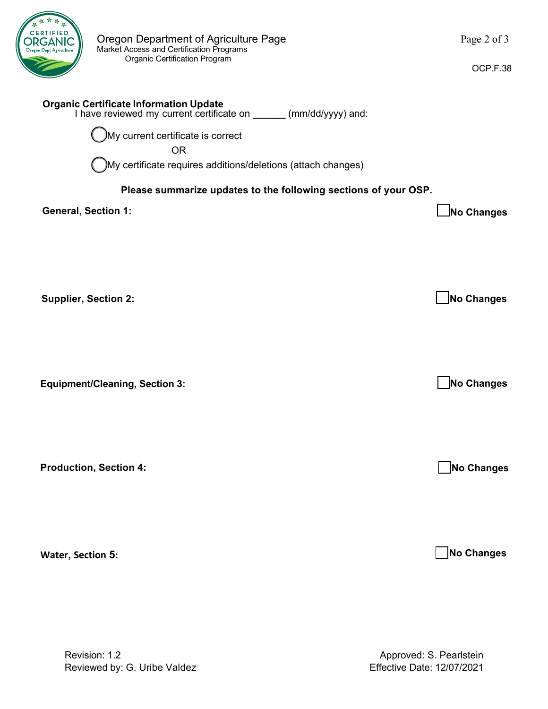

OCP.F.38

## **Organic Certificate Information Update**  I have reviewed my current certificate on **\_\_\_\_\_\_** (mm/dd/yyyy) and: My current certificate is correct OR My certificate requires additions/deletions (attach changes) **Please summarize updates to the following sections of your OSP. General, Section 1: No Changes Supplier, Section 2:** No Changes **No. 2:** No Changes **No. 2:** No Changes **Equipment/Cleaning, Section 3: Production, Section 4: No Changes No Changes**

**Water, Section 5:** 

 **No Changes**